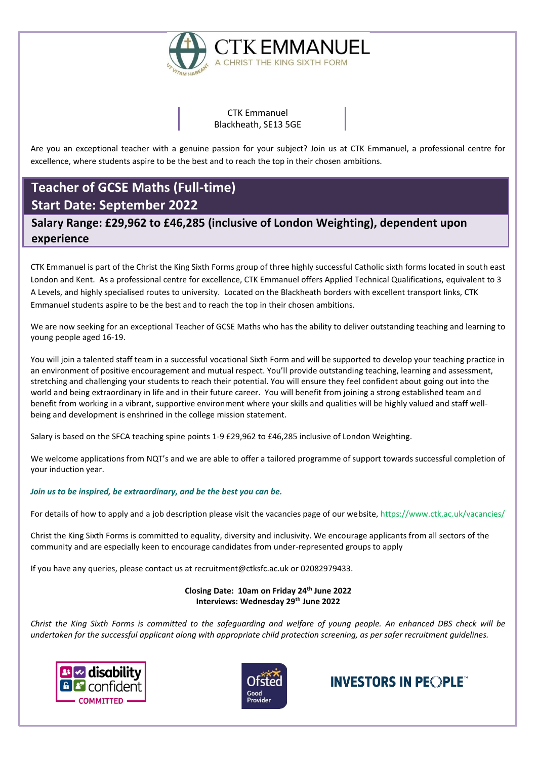

CTK Emmanuel Blackheath, SE13 5GE

Are you an exceptional teacher with a genuine passion for your subject? Join us at CTK Emmanuel, a professional centre for excellence, where students aspire to be the best and to reach the top in their chosen ambitions.

## **Teacher of GCSE Maths (Full-time) Start Date: September 2022**

**Salary Range: £29,962 to £46,285 (inclusive of London Weighting), dependent upon experience**

CTK Emmanuel is part of the Christ the King Sixth Forms group of three highly successful Catholic sixth forms located in south east London and Kent. As a professional centre for excellence, CTK Emmanuel offers Applied Technical Qualifications, equivalent to 3 A Levels, and highly specialised routes to university. Located on the Blackheath borders with excellent transport links, CTK Emmanuel students aspire to be the best and to reach the top in their chosen ambitions.

We are now seeking for an exceptional Teacher of GCSE Maths who has the ability to deliver outstanding teaching and learning to young people aged 16-19.

You will join a talented staff team in a successful vocational Sixth Form and will be supported to develop your teaching practice in an environment of positive encouragement and mutual respect. You'll provide outstanding teaching, learning and assessment, stretching and challenging your students to reach their potential. You will ensure they feel confident about going out into the world and being extraordinary in life and in their future career. You will benefit from joining a strong established team and benefit from working in a vibrant, supportive environment where your skills and qualities will be highly valued and staff wellbeing and development is enshrined in the college mission statement.

Salary is based on the SFCA teaching spine points 1-9 £29,962 to £46,285 inclusive of London Weighting.

We welcome applications from NQT's and we are able to offer a tailored programme of support towards successful completion of your induction year.

#### *Join us to be inspired, be extraordinary, and be the best you can be.*

For details of how to apply and a job description please visit the vacancies page of our website,<https://www.ctk.ac.uk/vacancies/>

Christ the King Sixth Forms is committed to equality, diversity and inclusivity. We encourage applicants from all sectors of the community and are especially keen to encourage candidates from under-represented groups to apply

If you have any queries, please contact us at recruitment@ctksfc.ac.uk or 02082979433.

#### **Closing Date: 10am on Friday 24th June 2022 Interviews: Wednesday 29th June 2022**

*Christ the King Sixth Forms is committed to the safeguarding and welfare of young people. An enhanced DBS check will be undertaken for the successful applicant along with appropriate child protection screening, as per safer recruitment guidelines.*





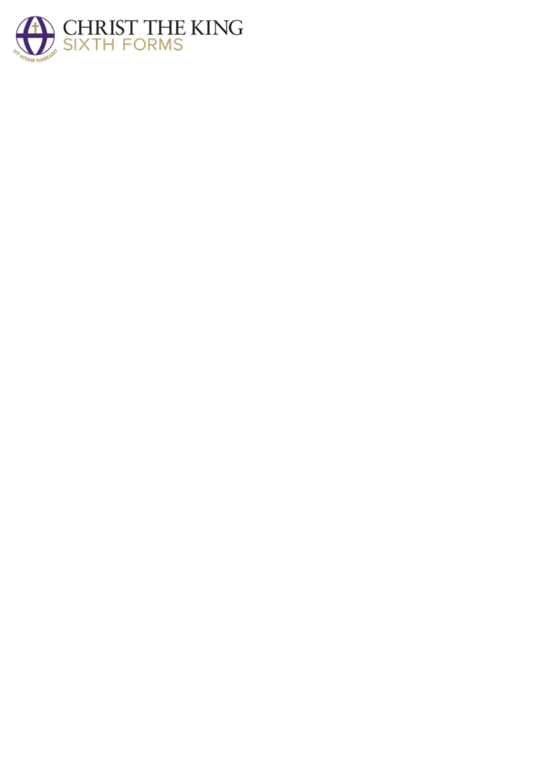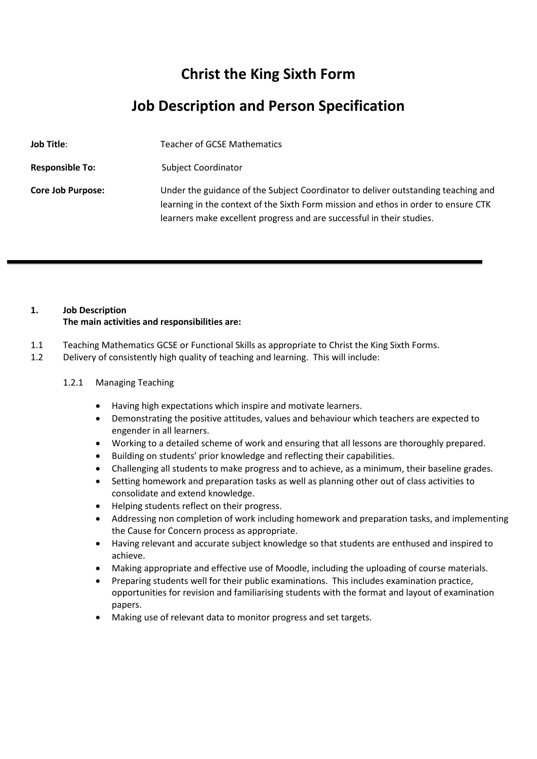# **Christ the King Sixth Form**

## **Job Description and Person Specification**

| <b>Job Title:</b>        | <b>Teacher of GCSE Mathematics</b>                                                                                                                                                                                                               |
|--------------------------|--------------------------------------------------------------------------------------------------------------------------------------------------------------------------------------------------------------------------------------------------|
| <b>Responsible To:</b>   | <b>Subject Coordinator</b>                                                                                                                                                                                                                       |
| <b>Core Job Purpose:</b> | Under the guidance of the Subject Coordinator to deliver outstanding teaching and<br>learning in the context of the Sixth Form mission and ethos in order to ensure CTK<br>learners make excellent progress and are successful in their studies. |

## **1. Job Description The main activities and responsibilities are:**

- 1.1 Teaching Mathematics GCSE or Functional Skills as appropriate to Christ the King Sixth Forms.
- 1.2 Delivery of consistently high quality of teaching and learning. This will include:

## 1.2.1 Managing Teaching

- Having high expectations which inspire and motivate learners.
- Demonstrating the positive attitudes, values and behaviour which teachers are expected to engender in all learners.
- Working to a detailed scheme of work and ensuring that all lessons are thoroughly prepared.
- Building on students' prior knowledge and reflecting their capabilities.
- Challenging all students to make progress and to achieve, as a minimum, their baseline grades.
- Setting homework and preparation tasks as well as planning other out of class activities to consolidate and extend knowledge.
- Helping students reflect on their progress.
- Addressing non completion of work including homework and preparation tasks, and implementing the Cause for Concern process as appropriate.
- Having relevant and accurate subject knowledge so that students are enthused and inspired to achieve.
- Making appropriate and effective use of Moodle, including the uploading of course materials.
- Preparing students well for their public examinations. This includes examination practice, opportunities for revision and familiarising students with the format and layout of examination papers.
- Making use of relevant data to monitor progress and set targets.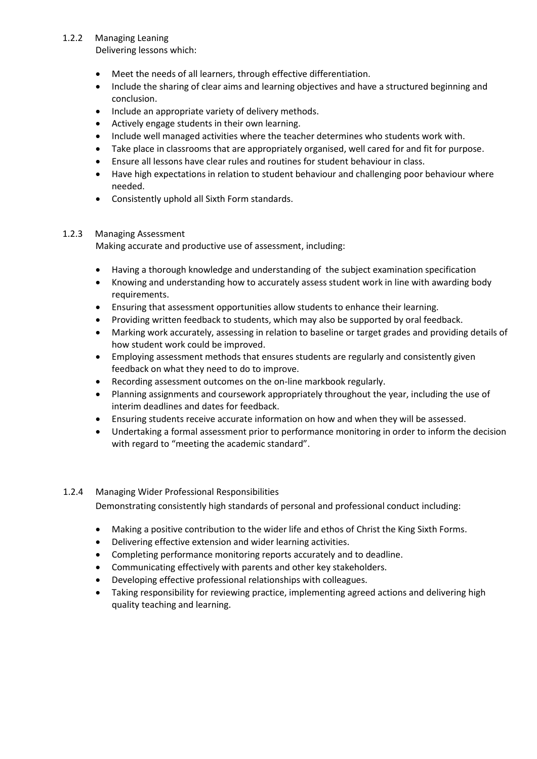#### 1.2.2 Managing Leaning Delivering lessons which:

- Meet the needs of all learners, through effective differentiation.
- Include the sharing of clear aims and learning objectives and have a structured beginning and conclusion.
- Include an appropriate variety of delivery methods.
- Actively engage students in their own learning.
- Include well managed activities where the teacher determines who students work with.
- Take place in classrooms that are appropriately organised, well cared for and fit for purpose.
- Ensure all lessons have clear rules and routines for student behaviour in class.
- Have high expectations in relation to student behaviour and challenging poor behaviour where needed.
- Consistently uphold all Sixth Form standards.

## 1.2.3 Managing Assessment

Making accurate and productive use of assessment, including:

- Having a thorough knowledge and understanding of the subject examination specification
- Knowing and understanding how to accurately assess student work in line with awarding body requirements.
- Ensuring that assessment opportunities allow students to enhance their learning.
- Providing written feedback to students, which may also be supported by oral feedback.
- Marking work accurately, assessing in relation to baseline or target grades and providing details of how student work could be improved.
- Employing assessment methods that ensures students are regularly and consistently given feedback on what they need to do to improve.
- Recording assessment outcomes on the on-line markbook regularly.
- Planning assignments and coursework appropriately throughout the year, including the use of interim deadlines and dates for feedback.
- Ensuring students receive accurate information on how and when they will be assessed.
- Undertaking a formal assessment prior to performance monitoring in order to inform the decision with regard to "meeting the academic standard".

## 1.2.4 Managing Wider Professional Responsibilities

Demonstrating consistently high standards of personal and professional conduct including:

- Making a positive contribution to the wider life and ethos of Christ the King Sixth Forms.
- Delivering effective extension and wider learning activities.
- Completing performance monitoring reports accurately and to deadline.
- Communicating effectively with parents and other key stakeholders.
- Developing effective professional relationships with colleagues.
- Taking responsibility for reviewing practice, implementing agreed actions and delivering high quality teaching and learning.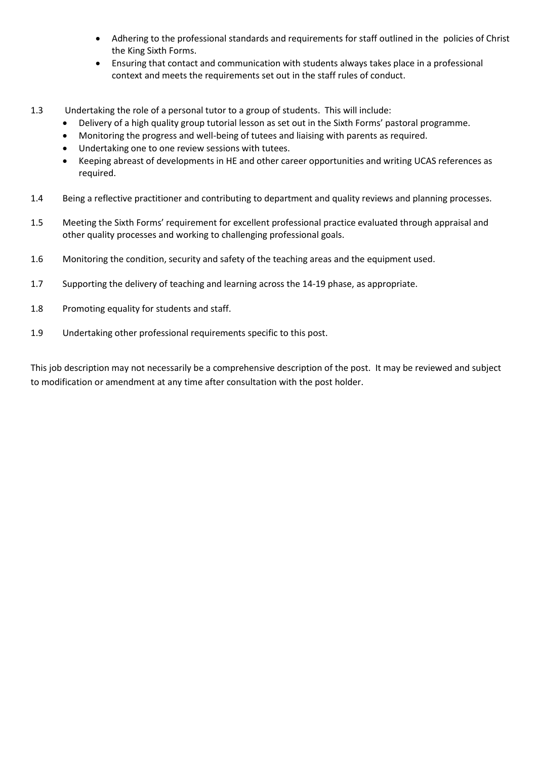- Adhering to the professional standards and requirements for staff outlined in the policies of Christ the King Sixth Forms.
- Ensuring that contact and communication with students always takes place in a professional context and meets the requirements set out in the staff rules of conduct.
- 1.3 Undertaking the role of a personal tutor to a group of students. This will include:
	- Delivery of a high quality group tutorial lesson as set out in the Sixth Forms' pastoral programme.
	- Monitoring the progress and well-being of tutees and liaising with parents as required.
	- Undertaking one to one review sessions with tutees.
	- Keeping abreast of developments in HE and other career opportunities and writing UCAS references as required.
- 1.4 Being a reflective practitioner and contributing to department and quality reviews and planning processes.
- 1.5 Meeting the Sixth Forms' requirement for excellent professional practice evaluated through appraisal and other quality processes and working to challenging professional goals.
- 1.6 Monitoring the condition, security and safety of the teaching areas and the equipment used.
- 1.7 Supporting the delivery of teaching and learning across the 14-19 phase, as appropriate.
- 1.8 Promoting equality for students and staff.
- 1.9 Undertaking other professional requirements specific to this post.

This job description may not necessarily be a comprehensive description of the post. It may be reviewed and subject to modification or amendment at any time after consultation with the post holder.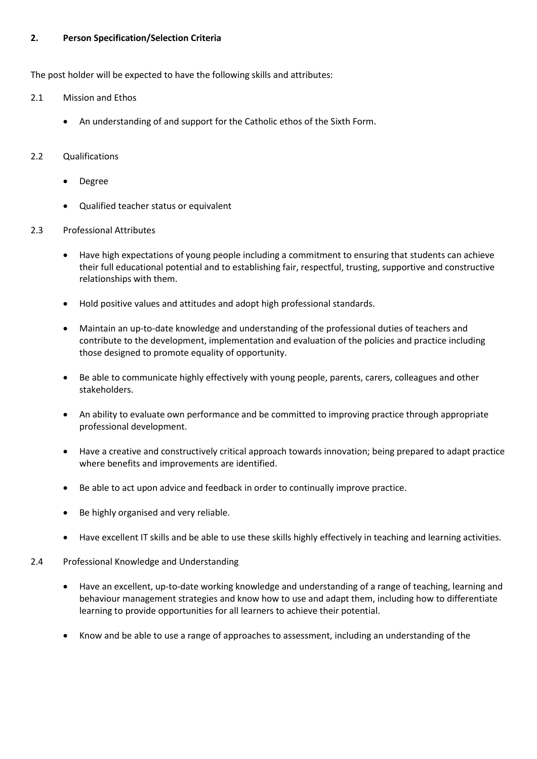#### **2. Person Specification/Selection Criteria**

The post holder will be expected to have the following skills and attributes:

#### 2.1 Mission and Ethos

• An understanding of and support for the Catholic ethos of the Sixth Form.

#### 2.2 Oualifications

- Degree
- Qualified teacher status or equivalent

#### 2.3 Professional Attributes

- Have high expectations of young people including a commitment to ensuring that students can achieve their full educational potential and to establishing fair, respectful, trusting, supportive and constructive relationships with them.
- Hold positive values and attitudes and adopt high professional standards.
- Maintain an up-to-date knowledge and understanding of the professional duties of teachers and contribute to the development, implementation and evaluation of the policies and practice including those designed to promote equality of opportunity.
- Be able to communicate highly effectively with young people, parents, carers, colleagues and other stakeholders.
- An ability to evaluate own performance and be committed to improving practice through appropriate professional development.
- Have a creative and constructively critical approach towards innovation; being prepared to adapt practice where benefits and improvements are identified.
- Be able to act upon advice and feedback in order to continually improve practice.
- Be highly organised and very reliable.
- Have excellent IT skills and be able to use these skills highly effectively in teaching and learning activities.
- 2.4 Professional Knowledge and Understanding
	- Have an excellent, up-to-date working knowledge and understanding of a range of teaching, learning and behaviour management strategies and know how to use and adapt them, including how to differentiate learning to provide opportunities for all learners to achieve their potential.
	- Know and be able to use a range of approaches to assessment, including an understanding of the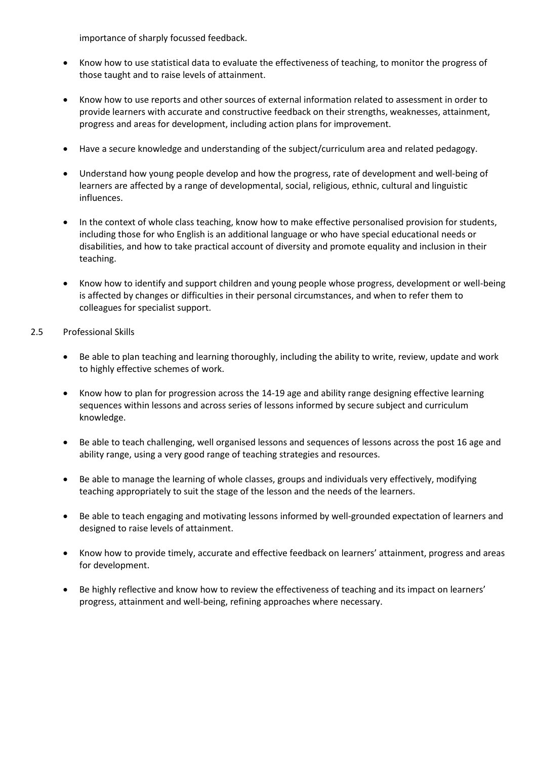importance of sharply focussed feedback.

- Know how to use statistical data to evaluate the effectiveness of teaching, to monitor the progress of those taught and to raise levels of attainment.
- Know how to use reports and other sources of external information related to assessment in order to provide learners with accurate and constructive feedback on their strengths, weaknesses, attainment, progress and areas for development, including action plans for improvement.
- Have a secure knowledge and understanding of the subject/curriculum area and related pedagogy.
- Understand how young people develop and how the progress, rate of development and well-being of learners are affected by a range of developmental, social, religious, ethnic, cultural and linguistic influences.
- In the context of whole class teaching, know how to make effective personalised provision for students, including those for who English is an additional language or who have special educational needs or disabilities, and how to take practical account of diversity and promote equality and inclusion in their teaching.
- Know how to identify and support children and young people whose progress, development or well-being is affected by changes or difficulties in their personal circumstances, and when to refer them to colleagues for specialist support.

#### 2.5 Professional Skills

- Be able to plan teaching and learning thoroughly, including the ability to write, review, update and work to highly effective schemes of work.
- Know how to plan for progression across the 14-19 age and ability range designing effective learning sequences within lessons and across series of lessons informed by secure subject and curriculum knowledge.
- Be able to teach challenging, well organised lessons and sequences of lessons across the post 16 age and ability range, using a very good range of teaching strategies and resources.
- Be able to manage the learning of whole classes, groups and individuals very effectively, modifying teaching appropriately to suit the stage of the lesson and the needs of the learners.
- Be able to teach engaging and motivating lessons informed by well-grounded expectation of learners and designed to raise levels of attainment.
- Know how to provide timely, accurate and effective feedback on learners' attainment, progress and areas for development.
- Be highly reflective and know how to review the effectiveness of teaching and its impact on learners' progress, attainment and well-being, refining approaches where necessary.